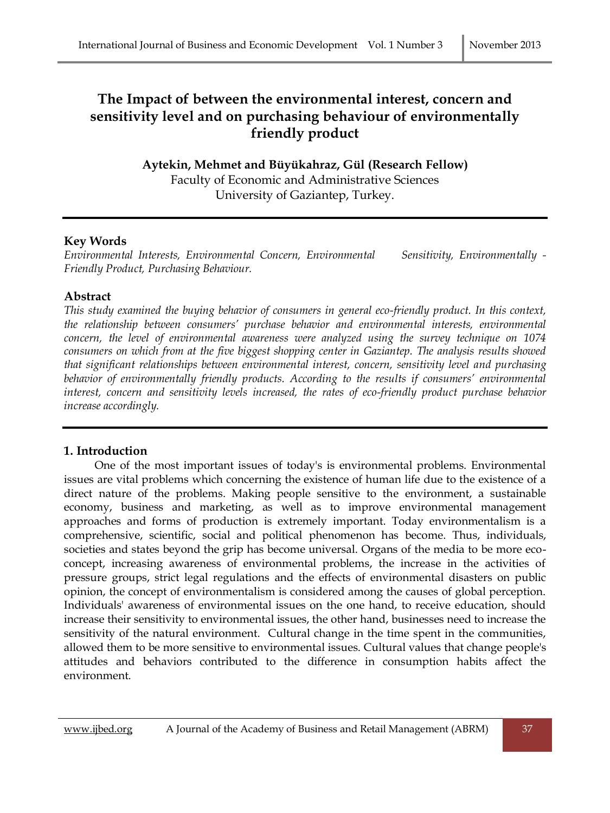# **The Impact of between the environmental interest, concern and sensitivity level and on purchasing behaviour of environmentally friendly product**

**Aytekin, Mehmet and Büyükahraz, Gül (Research Fellow)** Faculty of Economic and Administrative Sciences University of Gaziantep, Turkey.

# **Key Words**

*Environmental Interests, Environmental Concern, Environmental Sensitivity, Environmentally - Friendly Product, Purchasing Behaviour.*

### **Abstract**

*This study examined the buying behavior of consumers in general eco-friendly product. In this context, the relationship between consumers' purchase behavior and environmental interests, environmental concern, the level of environmental awareness were analyzed using the survey technique on 1074 consumers on which from at the five biggest shopping center in Gaziantep. The analysis results showed that significant relationships between environmental interest, concern, sensitivity level and purchasing behavior of environmentally friendly products. According to the results if consumers' environmental interest, concern and sensitivity levels increased, the rates of eco-friendly product purchase behavior increase accordingly.* 

# **1. Introduction**

 One of the most important issues of today's is environmental problems. Environmental issues are vital problems which concerning the existence of human life due to the existence of a direct nature of the problems. Making people sensitive to the environment, a sustainable economy, business and marketing, as well as to improve environmental management approaches and forms of production is extremely important. Today environmentalism is a comprehensive, scientific, social and political phenomenon has become. Thus, individuals, societies and states beyond the grip has become universal. Organs of the media to be more ecoconcept, increasing awareness of environmental problems, the increase in the activities of pressure groups, strict legal regulations and the effects of environmental disasters on public opinion, the concept of environmentalism is considered among the causes of global perception. Individuals' awareness of environmental issues on the one hand, to receive education, should increase their sensitivity to environmental issues, the other hand, businesses need to increase the sensitivity of the natural environment. Cultural change in the time spent in the communities, allowed them to be more sensitive to environmental issues. Cultural values that change people's attitudes and behaviors contributed to the difference in consumption habits affect the environment.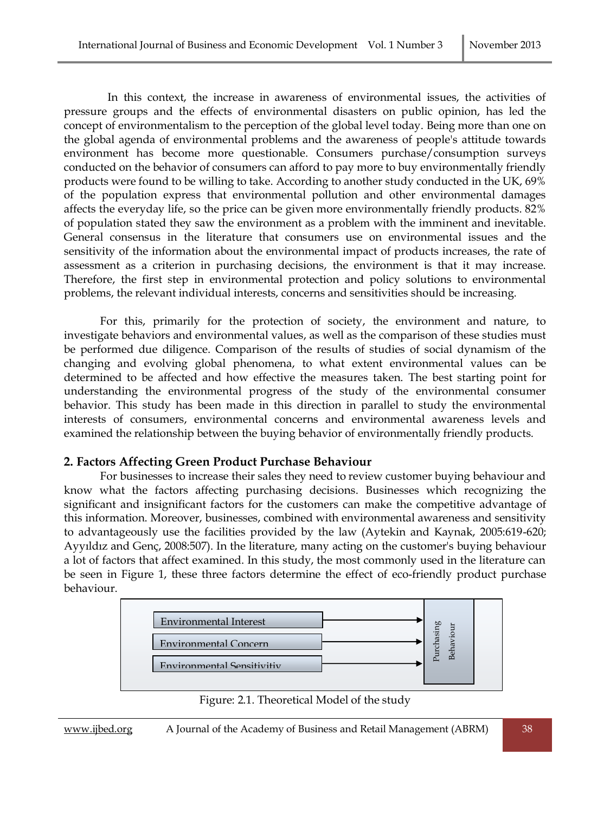In this context, the increase in awareness of environmental issues, the activities of pressure groups and the effects of environmental disasters on public opinion, has led the concept of environmentalism to the perception of the global level today. Being more than one on the global agenda of environmental problems and the awareness of people's attitude towards environment has become more questionable. Consumers purchase/consumption surveys conducted on the behavior of consumers can afford to pay more to buy environmentally friendly products were found to be willing to take. According to another study conducted in the UK, 69% of the population express that environmental pollution and other environmental damages affects the everyday life, so the price can be given more environmentally friendly products. 82% of population stated they saw the environment as a problem with the imminent and inevitable. General consensus in the literature that consumers use on environmental issues and the sensitivity of the information about the environmental impact of products increases, the rate of assessment as a criterion in purchasing decisions, the environment is that it may increase. Therefore, the first step in environmental protection and policy solutions to environmental problems, the relevant individual interests, concerns and sensitivities should be increasing.

For this, primarily for the protection of society, the environment and nature, to investigate behaviors and environmental values, as well as the comparison of these studies must be performed due diligence. Comparison of the results of studies of social dynamism of the changing and evolving global phenomena, to what extent environmental values can be determined to be affected and how effective the measures taken. The best starting point for understanding the environmental progress of the study of the environmental consumer behavior. This study has been made in this direction in parallel to study the environmental interests of consumers, environmental concerns and environmental awareness levels and examined the relationship between the buying behavior of environmentally friendly products.

#### **2. Factors Affecting Green Product Purchase Behaviour**

For businesses to increase their sales they need to review customer buying behaviour and know what the factors affecting purchasing decisions. Businesses which recognizing the significant and insignificant factors for the customers can make the competitive advantage of this information. Moreover, businesses, combined with environmental awareness and sensitivity to advantageously use the facilities provided by the law (Aytekin and Kaynak, 2005:619-620; Ayyıldız and Genç, 2008:507). In the literature, many acting on the customer's buying behaviour a lot of factors that affect examined. In this study, the most commonly used in the literature can be seen in Figure 1, these three factors determine the effect of eco-friendly product purchase behaviour.



Figure: 2.1. Theoretical Model of the study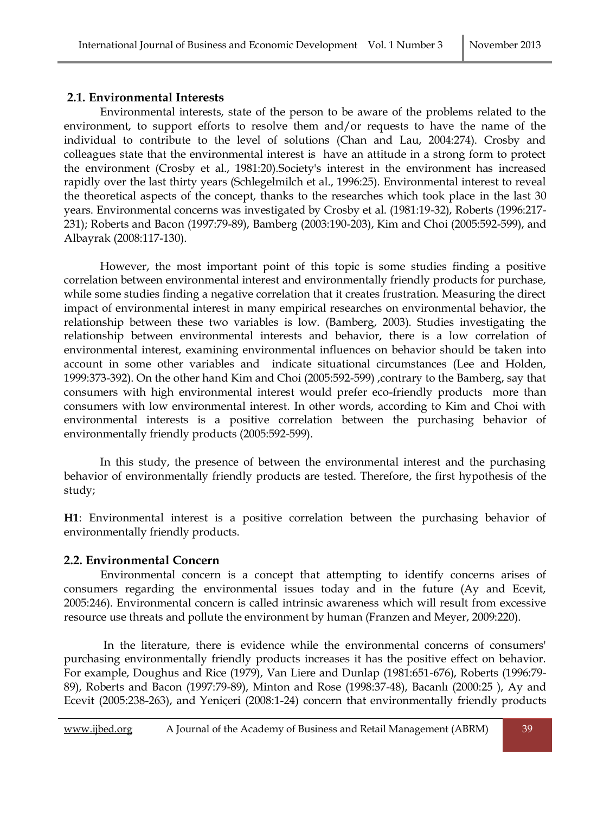#### **2.1. Environmental Interests**

Environmental interests, state of the person to be aware of the problems related to the environment, to support efforts to resolve them and/or requests to have the name of the individual to contribute to the level of solutions (Chan and Lau, 2004:274). Crosby and colleagues state that the environmental interest is have an attitude in a strong form to protect the environment (Crosby et al., 1981:20).Society's interest in the environment has increased rapidly over the last thirty years (Schlegelmilch et al., 1996:25). Environmental interest to reveal the theoretical aspects of the concept, thanks to the researches which took place in the last 30 years. Environmental concerns was investigated by Crosby et al. (1981:19-32), Roberts (1996:217- 231); Roberts and Bacon (1997:79-89), Bamberg (2003:190-203), Kim and Choi (2005:592-599), and Albayrak (2008:117-130).

However, the most important point of this topic is some studies finding a positive correlation between environmental interest and environmentally friendly products for purchase, while some studies finding a negative correlation that it creates frustration. Measuring the direct impact of environmental interest in many empirical researches on environmental behavior, the relationship between these two variables is low. (Bamberg, 2003). Studies investigating the relationship between environmental interests and behavior, there is a low correlation of environmental interest, examining environmental influences on behavior should be taken into account in some other variables and indicate situational circumstances (Lee and Holden, 1999:373-392). On the other hand Kim and Choi (2005:592-599) ,contrary to the Bamberg, say that consumers with high environmental interest would prefer eco-friendly products more than consumers with low environmental interest. In other words, according to Kim and Choi with environmental interests is a positive correlation between the purchasing behavior of environmentally friendly products (2005:592-599).

In this study, the presence of between the environmental interest and the purchasing behavior of environmentally friendly products are tested. Therefore, the first hypothesis of the study;

**H1**: Environmental interest is a positive correlation between the purchasing behavior of environmentally friendly products.

#### **2.2. Environmental Concern**

 Environmental concern is a concept that attempting to identify concerns arises of consumers regarding the environmental issues today and in the future (Ay and Ecevit, 2005:246). Environmental concern is called intrinsic awareness which will result from excessive resource use threats and pollute the environment by human (Franzen and Meyer, 2009:220).

In the literature, there is evidence while the environmental concerns of consumers' purchasing environmentally friendly products increases it has the positive effect on behavior. For example, Doughus and Rice (1979), Van Liere and Dunlap (1981:651-676), Roberts (1996:79- 89), Roberts and Bacon (1997:79-89), Minton and Rose (1998:37-48), Bacanlı (2000:25 ), Ay and Ecevit (2005:238-263), and Yeniçeri (2008:1-24) concern that environmentally friendly products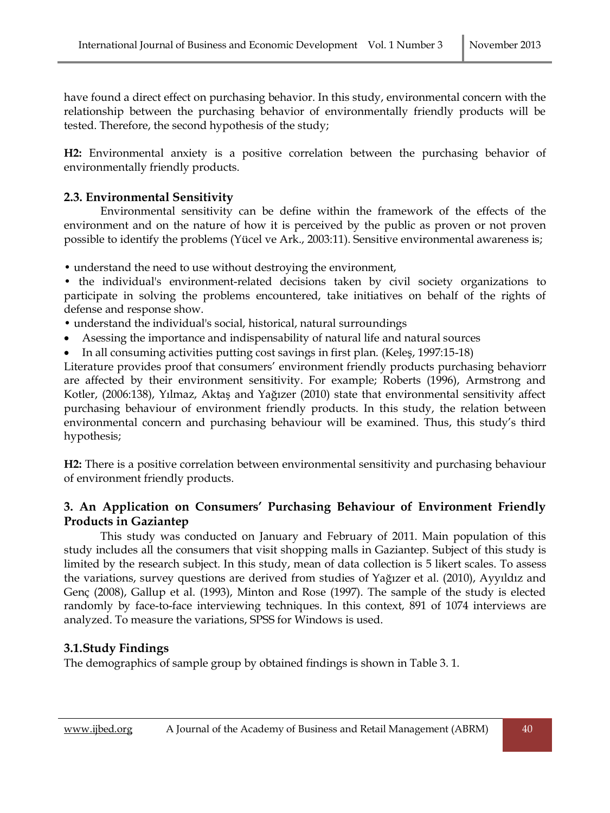have found a direct effect on purchasing behavior. In this study, environmental concern with the relationship between the purchasing behavior of environmentally friendly products will be tested. Therefore, the second hypothesis of the study;

**H2:** Environmental anxiety is a positive correlation between the purchasing behavior of environmentally friendly products.

# **2.3. Environmental Sensitivity**

 Environmental sensitivity can be define within the framework of the effects of the environment and on the nature of how it is perceived by the public as proven or not proven possible to identify the problems (Yücel ve Ark., 2003:11). Sensitive environmental awareness is;

• understand the need to use without destroying the environment,

• the individual's environment-related decisions taken by civil society organizations to participate in solving the problems encountered, take initiatives on behalf of the rights of defense and response show.

• understand the individual's social, historical, natural surroundings

- Asessing the importance and indispensability of natural life and natural sources
- In all consuming activities putting cost savings in first plan. (Keleş, 1997:15-18)

Literature provides proof that consumers' environment friendly products purchasing behaviorr are affected by their environment sensitivity. For example; Roberts (1996), Armstrong and Kotler, (2006:138), Yılmaz, Aktaş and Yağızer (2010) state that environmental sensitivity affect purchasing behaviour of environment friendly products. In this study, the relation between environmental concern and purchasing behaviour will be examined. Thus, this study's third hypothesis;

**H2:** There is a positive correlation between environmental sensitivity and purchasing behaviour of environment friendly products.

# **3. An Application on Consumers' Purchasing Behaviour of Environment Friendly Products in Gaziantep**

 This study was conducted on January and February of 2011. Main population of this study includes all the consumers that visit shopping malls in Gaziantep. Subject of this study is limited by the research subject. In this study, mean of data collection is 5 likert scales. To assess the variations, survey questions are derived from studies of Yağızer et al. (2010), Ayyıldız and Genç (2008), Gallup et al. (1993), Minton and Rose (1997). The sample of the study is elected randomly by face-to-face interviewing techniques. In this context, 891 of 1074 interviews are analyzed. To measure the variations, SPSS for Windows is used.

# **3.1.Study Findings**

The demographics of sample group by obtained findings is shown in Table 3. 1.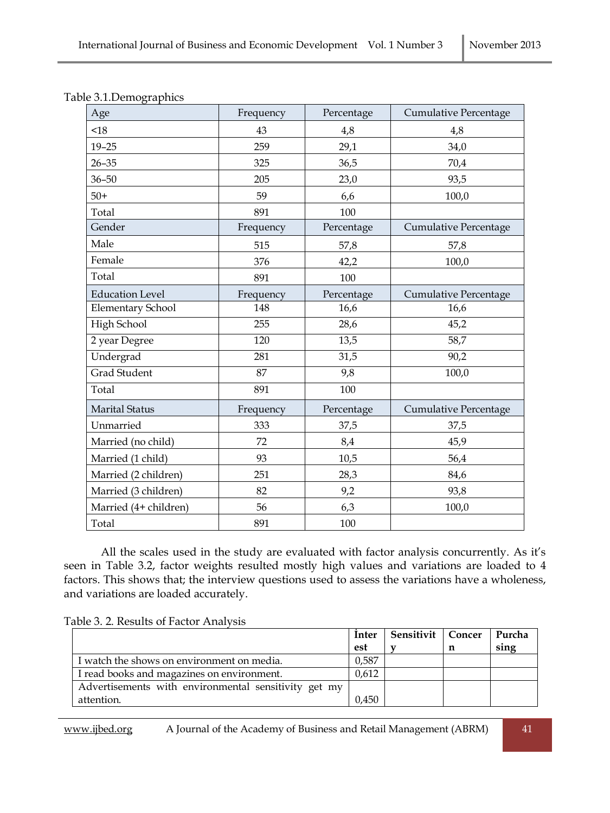| Age                      | Frequency | Percentage | Cumulative Percentage |
|--------------------------|-----------|------------|-----------------------|
| < 18                     | 43        | 4,8        | 4,8                   |
| $19 - 25$                | 259       | 29,1       | 34,0                  |
| $26 - 35$                | 325       | 36,5       | 70,4                  |
| $36 - 50$                | 205       | 23,0       | 93,5                  |
| $50+$                    | 59        | 6,6        | 100,0                 |
| Total                    | 891       | 100        |                       |
| Gender                   | Frequency | Percentage | Cumulative Percentage |
| Male                     | 515       | 57,8       | 57,8                  |
| Female                   | 376       | 42,2       | 100,0                 |
| Total                    | 891       | 100        |                       |
| <b>Education Level</b>   | Frequency | Percentage | Cumulative Percentage |
| <b>Elementary School</b> | 148       | 16,6       | 16,6                  |
| High School              | 255       | 28,6       | 45,2                  |
| 2 year Degree            | 120       | 13,5       | 58,7                  |
| Undergrad                | 281       | 31,5       | 90,2                  |
| <b>Grad Student</b>      | 87        | 9,8        | 100,0                 |
| Total                    | 891       | 100        |                       |
| <b>Marital Status</b>    | Frequency | Percentage | Cumulative Percentage |
| Unmarried                | 333       | 37,5       | 37,5                  |
| Married (no child)       | 72        | 8,4        | 45,9                  |
| Married (1 child)        | 93        | 10,5       | 56,4                  |
| Married (2 children)     | 251       | 28,3       | 84,6                  |
| Married (3 children)     | 82        | 9,2        | 93,8                  |
| Married (4+ children)    | 56        | 6,3        | 100,0                 |
| Total                    | 891       | 100        |                       |

| Table 3.1. Demographics |  |
|-------------------------|--|
|-------------------------|--|

All the scales used in the study are evaluated with factor analysis concurrently. As it's seen in Table 3.2, factor weights resulted mostly high values and variations are loaded to 4 factors. This shows that; the interview questions used to assess the variations have a wholeness, and variations are loaded accurately.

|  | Table 3. 2. Results of Factor Analysis |
|--|----------------------------------------|
|  |                                        |

|                                                      | Inter | Sensitivit   Concer | Purcha |
|------------------------------------------------------|-------|---------------------|--------|
|                                                      | est   |                     | sing   |
| I watch the shows on environment on media.           | 0,587 |                     |        |
| I read books and magazines on environment.           | 0,612 |                     |        |
| Advertisements with environmental sensitivity get my |       |                     |        |
| attention.                                           | 0,450 |                     |        |

www.ijbed.org A Journal of the Academy of Business and Retail Management (ABRM) 41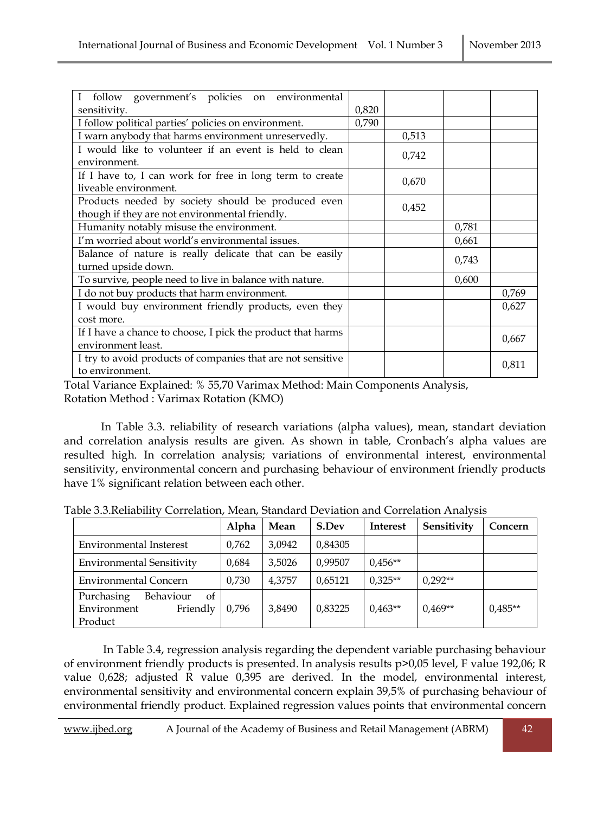| follow government's policies on environmental<br>L                                                   |       |       |       |       |
|------------------------------------------------------------------------------------------------------|-------|-------|-------|-------|
| sensitivity.                                                                                         | 0,820 |       |       |       |
| I follow political parties' policies on environment.                                                 | 0,790 |       |       |       |
| I warn anybody that harms environment unreservedly.                                                  |       | 0,513 |       |       |
| I would like to volunteer if an event is held to clean<br>environment.                               |       | 0,742 |       |       |
| If I have to, I can work for free in long term to create<br>liveable environment.                    |       | 0,670 |       |       |
| Products needed by society should be produced even<br>though if they are not environmental friendly. |       | 0,452 |       |       |
| Humanity notably misuse the environment.                                                             |       |       | 0,781 |       |
| I'm worried about world's environmental issues.                                                      |       |       | 0,661 |       |
| Balance of nature is really delicate that can be easily<br>turned upside down.                       |       |       | 0,743 |       |
| To survive, people need to live in balance with nature.                                              |       |       | 0,600 |       |
| I do not buy products that harm environment.                                                         |       |       |       | 0,769 |
| I would buy environment friendly products, even they                                                 |       |       |       | 0,627 |
| cost more.                                                                                           |       |       |       |       |
| If I have a chance to choose, I pick the product that harms<br>environment least.                    |       |       |       | 0,667 |
| I try to avoid products of companies that are not sensitive<br>to environment.                       |       |       |       | 0,811 |

Total Variance Explained: % 55,70 Varimax Method: Main Components Analysis, Rotation Method : Varimax Rotation (KMO)

In Table 3.3. reliability of research variations (alpha values), mean, standart deviation and correlation analysis results are given. As shown in table, Cronbach's alpha values are resulted high. In correlation analysis; variations of environmental interest, environmental sensitivity, environmental concern and purchasing behaviour of environment friendly products have 1% significant relation between each other.

|                                                                     | Alpha | Mean   | S.Dev   | <b>Interest</b> | Sensitivity | Concern   |
|---------------------------------------------------------------------|-------|--------|---------|-----------------|-------------|-----------|
| Environmental Insterest                                             | 0,762 | 3,0942 | 0,84305 |                 |             |           |
| <b>Environmental Sensitivity</b>                                    | 0,684 | 3,5026 | 0,99507 | $0.456**$       |             |           |
| <b>Environmental Concern</b>                                        | 0,730 | 4,3757 | 0,65121 | $0.325**$       | $0.292**$   |           |
| Behaviour<br>Purchasing<br>of<br>Friendly<br>Environment<br>Product | 0,796 | 3,8490 | 0,83225 | $0.463**$       | $0.469**$   | $0.485**$ |

|  | Table 3.3. Reliability Correlation, Mean, Standard Deviation and Correlation Analysis |  |
|--|---------------------------------------------------------------------------------------|--|
|  |                                                                                       |  |

 In Table 3.4, regression analysis regarding the dependent variable purchasing behaviour of environment friendly products is presented. In analysis results p>0,05 level, F value 192,06; R value 0,628; adjusted R value 0,395 are derived. In the model, environmental interest, environmental sensitivity and environmental concern explain 39,5% of purchasing behaviour of environmental friendly product. Explained regression values points that environmental concern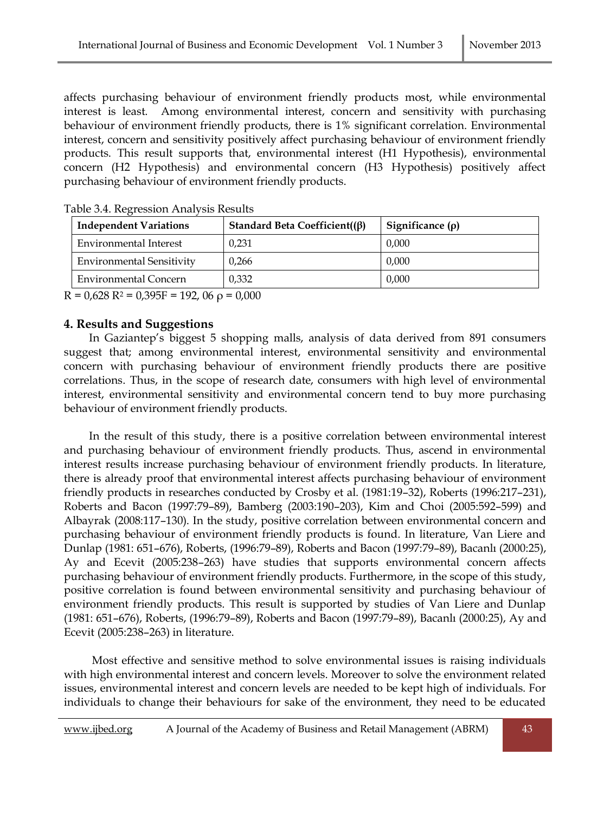affects purchasing behaviour of environment friendly products most, while environmental interest is least. Among environmental interest, concern and sensitivity with purchasing behaviour of environment friendly products, there is 1% significant correlation. Environmental interest, concern and sensitivity positively affect purchasing behaviour of environment friendly products. This result supports that, environmental interest (H1 Hypothesis), environmental concern (H2 Hypothesis) and environmental concern (H3 Hypothesis) positively affect purchasing behaviour of environment friendly products.

| <b>Independent Variations</b>    | Standard Beta Coefficient( $(\beta)$ | Significance $(\rho)$ |
|----------------------------------|--------------------------------------|-----------------------|
| Environmental Interest           | 0.231                                | 0,000                 |
| <b>Environmental Sensitivity</b> | 0.266                                | 0.000                 |
| Environmental Concern            | 0.332                                | 0.000                 |

Table 3.4. Regression Analysis Results

 $R = 0.628 R^2 = 0.395F = 192, 06 \rho = 0.000$ 

### **4. Results and Suggestions**

 In Gaziantep's biggest 5 shopping malls, analysis of data derived from 891 consumers suggest that; among environmental interest, environmental sensitivity and environmental concern with purchasing behaviour of environment friendly products there are positive correlations. Thus, in the scope of research date, consumers with high level of environmental interest, environmental sensitivity and environmental concern tend to buy more purchasing behaviour of environment friendly products.

 In the result of this study, there is a positive correlation between environmental interest and purchasing behaviour of environment friendly products. Thus, ascend in environmental interest results increase purchasing behaviour of environment friendly products. In literature, there is already proof that environmental interest affects purchasing behaviour of environment friendly products in researches conducted by Crosby et al. (1981:19–32), Roberts (1996:217–231), Roberts and Bacon (1997:79–89), Bamberg (2003:190–203), Kim and Choi (2005:592–599) and Albayrak (2008:117–130). In the study, positive correlation between environmental concern and purchasing behaviour of environment friendly products is found. In literature, Van Liere and Dunlap (1981: 651–676), Roberts, (1996:79–89), Roberts and Bacon (1997:79–89), Bacanlı (2000:25), Ay and Ecevit (2005:238–263) have studies that supports environmental concern affects purchasing behaviour of environment friendly products. Furthermore, in the scope of this study, positive correlation is found between environmental sensitivity and purchasing behaviour of environment friendly products. This result is supported by studies of Van Liere and Dunlap (1981: 651–676), Roberts, (1996:79–89), Roberts and Bacon (1997:79–89), Bacanlı (2000:25), Ay and Ecevit (2005:238–263) in literature.

 Most effective and sensitive method to solve environmental issues is raising individuals with high environmental interest and concern levels. Moreover to solve the environment related issues, environmental interest and concern levels are needed to be kept high of individuals. For individuals to change their behaviours for sake of the environment, they need to be educated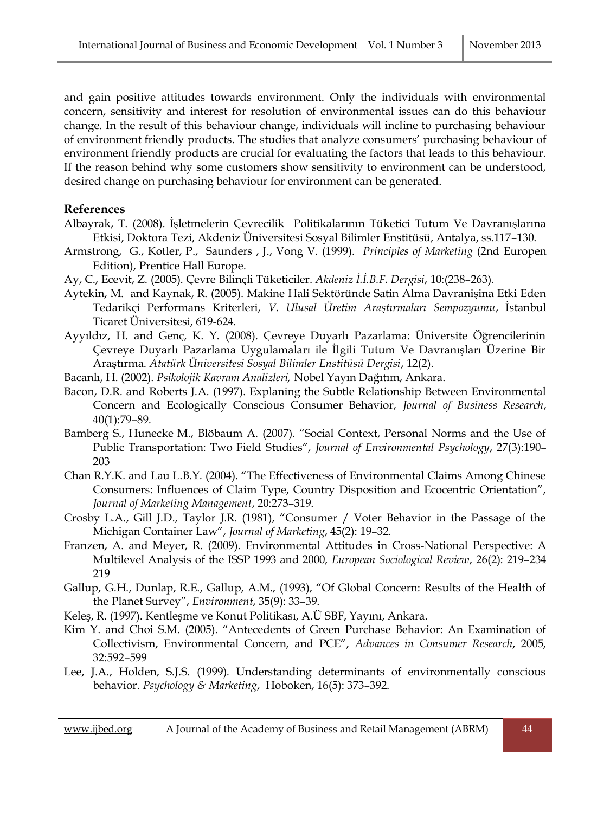and gain positive attitudes towards environment. Only the individuals with environmental concern, sensitivity and interest for resolution of environmental issues can do this behaviour change. In the result of this behaviour change, individuals will incline to purchasing behaviour of environment friendly products. The studies that analyze consumers' purchasing behaviour of environment friendly products are crucial for evaluating the factors that leads to this behaviour. If the reason behind why some customers show sensitivity to environment can be understood, desired change on purchasing behaviour for environment can be generated.

# **References**

- Albayrak, T. (2008). İşletmelerin Çevrecilik Politikalarının Tüketici Tutum Ve Davranışlarına Etkisi, Doktora Tezi, Akdeniz Üniversitesi Sosyal Bilimler Enstitüsü, Antalya, ss.117–130.
- Armstrong, G., Kotler, P., Saunders , J., Vong V. (1999). *Principles of Marketing* (2nd Europen Edition), Prentice Hall Europe.
- Ay, C., Ecevit, Z. (2005). Çevre Bilinçli Tüketiciler. *Akdeniz İ.İ.B.F. Dergisi*, 10:(238–263).
- Aytekin, M. and Kaynak, R. (2005). Makine Hali Sektöründe Satin Alma Davranişina Etki Eden Tedarikçi Performans Kriterleri, *V. Ulusal Üretim Araştırmaları Sempozyumu*, İstanbul Ticaret Üniversitesi, 619-624.
- Ayyıldız, H. and Genç, K. Y. (2008). Çevreye Duyarlı Pazarlama: Üniversite Öğrencilerinin Çevreye Duyarlı Pazarlama Uygulamaları ile İlgili Tutum Ve Davranışları Üzerine Bir Araştırma. *Atatürk Üniversitesi Sosyal Bilimler Enstitüsü Dergisi*, 12(2).
- Bacanlı, H. (2002). *Psikolojik Kavram Analizleri,* Nobel Yayın Dağıtım, Ankara.
- Bacon, D.R. and Roberts J.A. (1997). Explaning the Subtle Relationship Between Environmental Concern and Ecologically Conscious Consumer Behavior, *Journal of Business Research*, 40(1):79–89.
- Bamberg S., Hunecke M., Blöbaum A. (2007). "Social Context, Personal Norms and the Use of Public Transportation: Two Field Studies", *Journal of Environmental Psychology*, 27(3):190– 203
- Chan R.Y.K. and Lau L.B.Y. (2004). "The Effectiveness of Environmental Claims Among Chinese Consumers: Influences of Claim Type, Country Disposition and Ecocentric Orientation", *Journal of Marketing Management*, 20:273–319.
- Crosby L.A., Gill J.D., Taylor J.R. (1981), "Consumer / Voter Behavior in the Passage of the Michigan Container Law", *Journal of Marketing*, 45(2): 19–32.
- Franzen, A. and Meyer, R. (2009). Environmental Attitudes in Cross-National Perspective: A Multilevel Analysis of the ISSP 1993 and 2000, *European Sociological Review*, 26(2): 219–234 219
- Gallup, G.H., Dunlap, R.E., Gallup, A.M., (1993), "Of Global Concern: Results of the Health of the Planet Survey", *Environment*, 35(9): 33–39.
- Keleş, R. (1997). Kentleşme ve Konut Politikası, A.Ü SBF, Yayını, Ankara.
- Kim Y. and Choi S.M. (2005). "Antecedents of Green Purchase Behavior: An Examination of Collectivism, Environmental Concern, and PCE", *Advances in Consumer Research*, 2005, 32:592–599
- Lee, J.A., Holden, S.J.S. (1999). Understanding determinants of environmentally conscious behavior. *[Psychology & Marketing](http://proquest.umi.com/pqdweb?RQT=318&pmid=16672&TS=1280748615&clientId=46612&VInst=PROD&VName=PQD&VType=PQD)*, Hoboken, 16(5): 373–392.